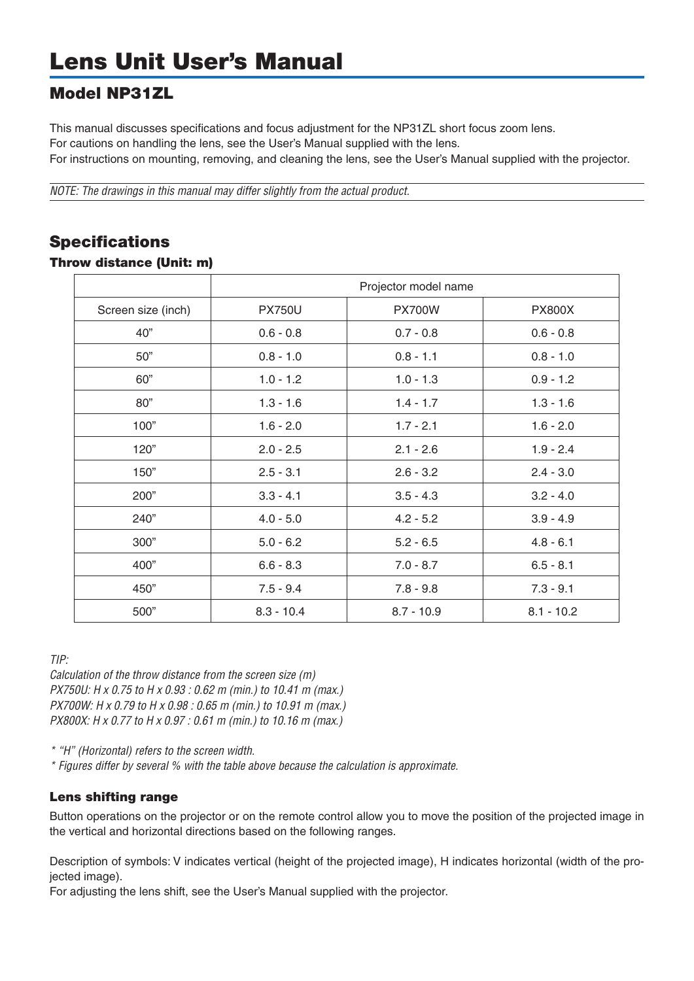## Model NP31ZL

This manual discusses specifications and focus adjustment for the NP31ZL short focus zoom lens. For cautions on handling the lens, see the User's Manual supplied with the lens. For instructions on mounting, removing, and cleaning the lens, see the User's Manual supplied with the projector.

*NOTE: The drawings in this manual may differ slightly from the actual product.*

## Specifications

## Throw distance (Unit: m)

|                    | Projector model name       |                            |               |  |  |  |
|--------------------|----------------------------|----------------------------|---------------|--|--|--|
| Screen size (inch) | <b>PX750U</b>              | <b>PX700W</b>              | <b>PX800X</b> |  |  |  |
| 40"                | $0.6 - 0.8$                | $0.7 - 0.8$                | $0.6 - 0.8$   |  |  |  |
| 50"                | $0.8 - 1.1$<br>$0.8 - 1.0$ |                            | $0.8 - 1.0$   |  |  |  |
| 60"                | $1.0 - 1.2$                | $1.0 - 1.3$                | $0.9 - 1.2$   |  |  |  |
| 80"                | $1.3 - 1.6$                | $1.4 - 1.7$                | $1.3 - 1.6$   |  |  |  |
| 100"               | $1.6 - 2.0$                | $1.7 - 2.1$                | $1.6 - 2.0$   |  |  |  |
| 120"               | $2.0 - 2.5$                | $2.1 - 2.6$                | $1.9 - 2.4$   |  |  |  |
| 150"               | $2.5 - 3.1$                | $2.6 - 3.2$                | $2.4 - 3.0$   |  |  |  |
| 200"               | $3.3 - 4.1$                | $3.5 - 4.3$                | $3.2 - 4.0$   |  |  |  |
| 240"               | $4.0 - 5.0$                | $4.2 - 5.2$                | $3.9 - 4.9$   |  |  |  |
| 300"               | $5.0 - 6.2$                | $5.2 - 6.5$<br>$4.8 - 6.1$ |               |  |  |  |
| 400"               | $6.6 - 8.3$                | $7.0 - 8.7$                | $6.5 - 8.1$   |  |  |  |
| 450"               | $7.5 - 9.4$                | $7.8 - 9.8$                | $7.3 - 9.1$   |  |  |  |
| 500"               | $8.3 - 10.4$               | $8.7 - 10.9$               | $8.1 - 10.2$  |  |  |  |

*TIP:*

*Calculation of the throw distance from the screen size (m) PX750U: H x 0.75 to H x 0.93 : 0.62 m (min.) to 10.41 m (max.) PX700W: H x 0.79 to H x 0.98 : 0.65 m (min.) to 10.91 m (max.) PX800X: H x 0.77 to H x 0.97 : 0.61 m (min.) to 10.16 m (max.)*

*\* "H" (Horizontal) refers to the screen width.*

*\* Figures differ by several % with the table above because the calculation is approximate.*

## Lens shifting range

Button operations on the projector or on the remote control allow you to move the position of the projected image in the vertical and horizontal directions based on the following ranges.

Description of symbols: V indicates vertical (height of the projected image), H indicates horizontal (width of the proiected image).

For adjusting the lens shift, see the User's Manual supplied with the projector.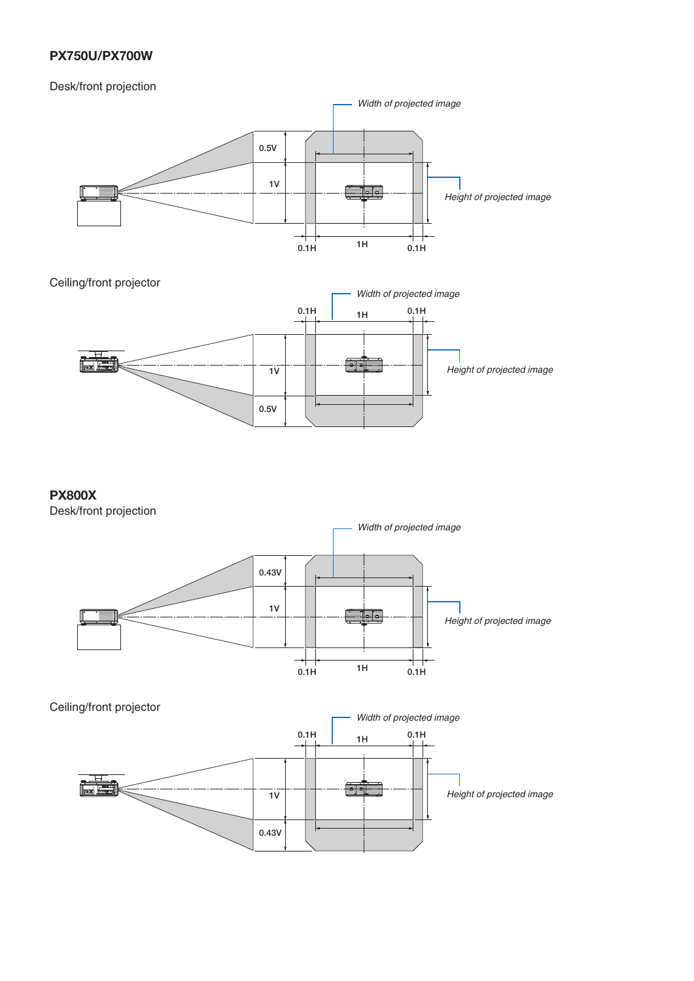## **PX750U/PX700W**

## Desk/front projection



## **PX800X**

Desk/front projection



### Ceiling/front projector

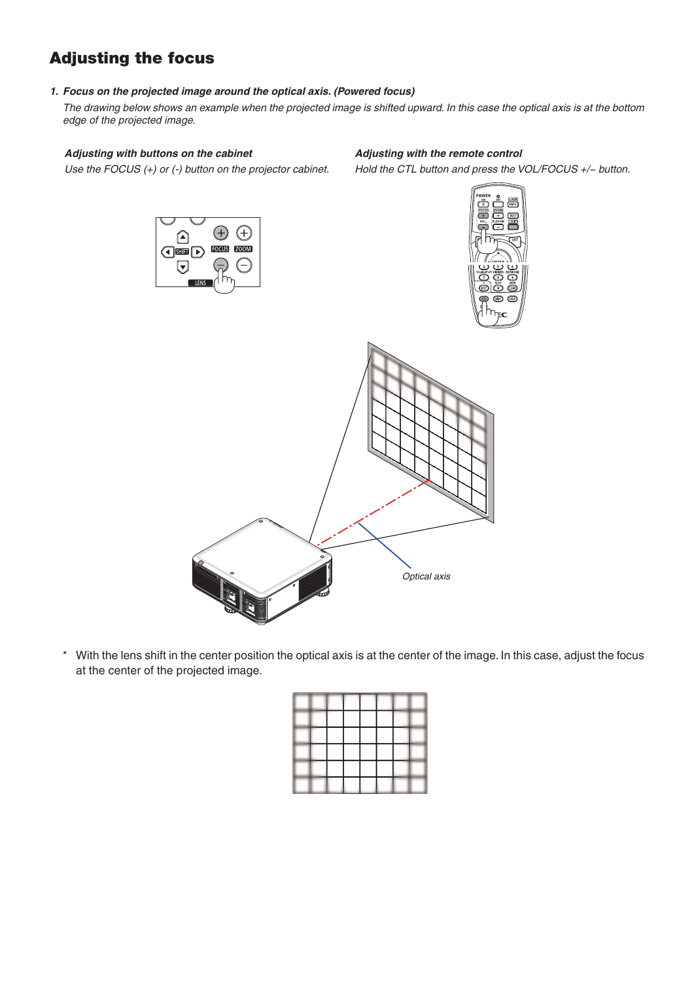# Adjusting the focus

### *1. Focus on the projected image around the optical axis. (Powered focus)*

*The drawing below shows an example when the projected image is shifted upward. In this case the optical axis is at the bottom edge of the projected image.* 

#### *Adjusting with buttons on the cabinet*

#### *Adjusting with the remote control*

*Use the FOCUS (+) or (-) button on the projector cabinet.*

*Hold the CTL button and press the VOL/FOCUS +/− button.*







\* With the lens shift in the center position the optical axis is at the center of the image. In this case, adjust the focus at the center of the projected image.

|  |  | <b>Contract</b> |                   |  |
|--|--|-----------------|-------------------|--|
|  |  |                 | --                |  |
|  |  |                 | <b>Contractor</b> |  |
|  |  |                 |                   |  |
|  |  |                 |                   |  |
|  |  |                 |                   |  |